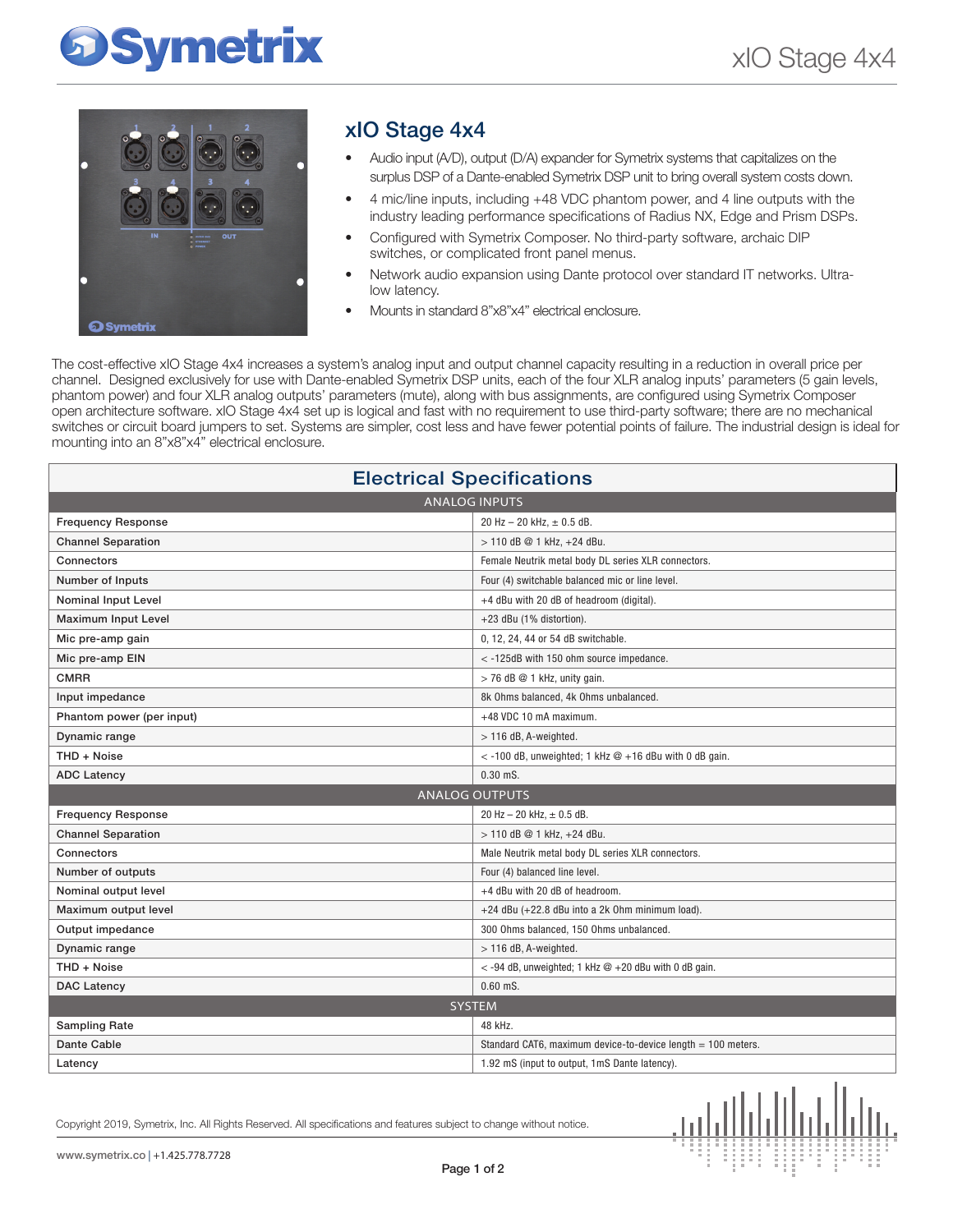# **Symetrix**



### xIO Stage 4x4

- Audio input (A/D), output (D/A) expander for Symetrix systems that capitalizes on the surplus DSP of a Dante-enabled Symetrix DSP unit to bring overall system costs down.
- 4 mic/line inputs, including +48 VDC phantom power, and 4 line outputs with the industry leading performance specifications of Radius NX, Edge and Prism DSPs.
- Configured with Symetrix Composer. No third-party software, archaic DIP switches, or complicated front panel menus.
- Network audio expansion using Dante protocol over standard IT networks. Ultralow latency.
- Mounts in standard 8"x8"x4" electrical enclosure.

The cost-effective xIO Stage 4x4 increases a system's analog input and output channel capacity resulting in a reduction in overall price per channel. Designed exclusively for use with Dante-enabled Symetrix DSP units, each of the four XLR analog inputs' parameters (5 gain levels, phantom power) and four XLR analog outputs' parameters (mute), along with bus assignments, are configured using Symetrix Composer open architecture software. xIO Stage 4x4 set up is logical and fast with no requirement to use third-party software; there are no mechanical switches or circuit board jumpers to set. Systems are simpler, cost less and have fewer potential points of failure. The industrial design is ideal for mounting into an 8"x8"x4" electrical enclosure.

| <b>Electrical Specifications</b> |                                                              |  |
|----------------------------------|--------------------------------------------------------------|--|
| <b>ANALOG INPUTS</b>             |                                                              |  |
| <b>Frequency Response</b>        | 20 Hz - 20 kHz, $\pm$ 0.5 dB.                                |  |
| <b>Channel Separation</b>        | > 110 dB @ 1 kHz, +24 dBu.                                   |  |
| Connectors                       | Female Neutrik metal body DL series XLR connectors.          |  |
| Number of Inputs                 | Four (4) switchable balanced mic or line level.              |  |
| Nominal Input Level              | +4 dBu with 20 dB of headroom (digital).                     |  |
| <b>Maximum Input Level</b>       | +23 dBu (1% distortion).                                     |  |
| Mic pre-amp gain                 | 0, 12, 24, 44 or 54 dB switchable.                           |  |
| Mic pre-amp EIN                  | $<$ -125dB with 150 ohm source impedance.                    |  |
| <b>CMRR</b>                      | $>$ 76 dB $@$ 1 kHz, unity gain.                             |  |
| Input impedance                  | 8k Ohms balanced, 4k Ohms unbalanced.                        |  |
| Phantom power (per input)        | +48 VDC 10 mA maximum.                                       |  |
| Dynamic range                    | $>$ 116 dB, A-weighted.                                      |  |
| THD + Noise                      | $<$ -100 dB, unweighted; 1 kHz $@$ +16 dBu with 0 dB gain.   |  |
| <b>ADC Latency</b>               | $0.30$ mS.                                                   |  |
| <b>ANALOG OUTPUTS</b>            |                                                              |  |
| <b>Frequency Response</b>        | 20 Hz $-$ 20 kHz, $\pm$ 0.5 dB.                              |  |
| <b>Channel Separation</b>        | > 110 dB @ 1 kHz, +24 dBu.                                   |  |
| Connectors                       | Male Neutrik metal body DL series XLR connectors.            |  |
| Number of outputs                | Four (4) balanced line level.                                |  |
| Nominal output level             | +4 dBu with 20 dB of headroom.                               |  |
| Maximum output level             | +24 dBu (+22.8 dBu into a 2k 0hm minimum load).              |  |
| Output impedance                 | 300 Ohms balanced, 150 Ohms unbalanced.                      |  |
| Dynamic range                    | $>$ 116 dB, A-weighted.                                      |  |
| THD + Noise                      | <-94 dB, unweighted; 1 kHz @ +20 dBu with 0 dB gain.         |  |
| <b>DAC Latency</b>               | $0.60$ mS.                                                   |  |
| <b>SYSTEM</b>                    |                                                              |  |
| <b>Sampling Rate</b>             | 48 kHz.                                                      |  |
| <b>Dante Cable</b>               | Standard CAT6, maximum device-to-device length = 100 meters. |  |
| Latency                          | 1.92 mS (input to output, 1mS Dante latency).                |  |

Copyright 2019, Symetrix, Inc. All Rights Reserved. All specifications and features subject to change without notice.